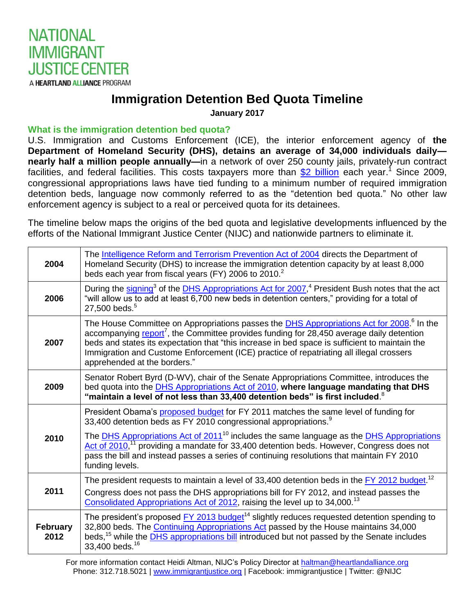

## **Immigration Detention Bed Quota Timeline**

**January 2017**

## **What is the immigration detention bed quota?**

U.S. Immigration and Customs Enforcement (ICE), the interior enforcement agency of **the Department of Homeland Security (DHS), detains an average of 34,000 individuals daily nearly half a million people annually—**in a network of over 250 county jails, privately-run contract facilities, and federal facilities. This costs taxpayers more than **\$2 billion** each year.<sup>1</sup> Since 2009, congressional appropriations laws have tied funding to a minimum number of required immigration detention beds, language now commonly referred to as the "detention bed quota." No other law enforcement agency is subject to a real or perceived quota for its detainees.

The timeline below maps the origins of the bed quota and legislative developments influenced by the efforts of the National Immigrant Justice Center (NIJC) and nationwide partners to eliminate it.

| 2004                    | The Intelligence Reform and Terrorism Prevention Act of 2004 directs the Department of<br>Homeland Security (DHS) to increase the immigration detention capacity by at least 8,000<br>beds each year from fiscal years (FY) 2006 to 2010. <sup>2</sup>                                                                                                                                                                                            |
|-------------------------|---------------------------------------------------------------------------------------------------------------------------------------------------------------------------------------------------------------------------------------------------------------------------------------------------------------------------------------------------------------------------------------------------------------------------------------------------|
| 2006                    | During the signing <sup>3</sup> of the <b>DHS</b> Appropriations Act for 2007, <sup>4</sup> President Bush notes that the act<br>"will allow us to add at least 6,700 new beds in detention centers," providing for a total of<br>27,500 beds. <sup>5</sup>                                                                                                                                                                                       |
| 2007                    | The House Committee on Appropriations passes the <b>DHS Appropriations Act for 2008.</b> <sup>6</sup> In the<br>accompanying report <sup>7</sup> , the Committee provides funding for 28,450 average daily detention<br>beds and states its expectation that "this increase in bed space is sufficient to maintain the<br>Immigration and Custome Enforcement (ICE) practice of repatriating all illegal crossers<br>apprehended at the borders." |
| 2009                    | Senator Robert Byrd (D-WV), chair of the Senate Appropriations Committee, introduces the<br>bed quota into the <b>DHS Appropriations Act of 2010</b> , where language mandating that DHS<br>"maintain a level of not less than 33,400 detention beds" is first included. $8$                                                                                                                                                                      |
| 2010                    | President Obama's proposed budget for FY 2011 matches the same level of funding for<br>33,400 detention beds as FY 2010 congressional appropriations. <sup>9</sup><br>The <b>DHS</b> Appropriations Act of 2011 <sup>10</sup> includes the same language as the <b>DHS</b> Appropriations<br>Act of 2010, <sup>11</sup> providing a mandate for 33,400 detention beds. However, Congress does not                                                 |
|                         | pass the bill and instead passes a series of continuing resolutions that maintain FY 2010<br>funding levels.                                                                                                                                                                                                                                                                                                                                      |
| 2011                    | The president requests to maintain a level of 33,400 detention beds in the $EY$ 2012 budget. <sup>12</sup><br>Congress does not pass the DHS appropriations bill for FY 2012, and instead passes the<br>Consolidated Appropriations Act of 2012, raising the level up to 34,000. <sup>13</sup>                                                                                                                                                    |
| <b>February</b><br>2012 | The president's proposed FY 2013 budget <sup>14</sup> slightly reduces requested detention spending to<br>32,800 beds. The Continuing Appropriations Act passed by the House maintains 34,000<br>beds, <sup>15</sup> while the <b>DHS</b> appropriations bill introduced but not passed by the Senate includes<br>33,400 beds. <sup>16</sup>                                                                                                      |

For more information contact Heidi Altman, NIJC's Policy Director at [haltman@heartlandalliance.org](mailto:haltman@heartlandalliance.org) Phone: 312.718.5021 | [www.immigrantjustice.org](http://www.immigrantjustice.org/) | Facebook: immigrantjustice | Twitter: @NIJC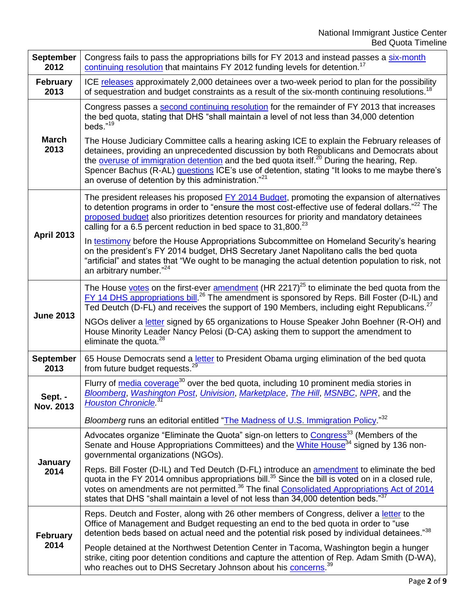| <b>September</b><br>2012 | Congress fails to pass the appropriations bills for FY 2013 and instead passes a six-month<br>continuing resolution that maintains FY 2012 funding levels for detention. <sup>17</sup>                                                                                                                                                                                                                     |
|--------------------------|------------------------------------------------------------------------------------------------------------------------------------------------------------------------------------------------------------------------------------------------------------------------------------------------------------------------------------------------------------------------------------------------------------|
| <b>February</b><br>2013  | ICE releases approximately 2,000 detainees over a two-week period to plan for the possibility<br>of sequestration and budget constraints as a result of the six-month continuing resolutions. <sup>18</sup>                                                                                                                                                                                                |
| <b>March</b><br>2013     | Congress passes a second continuing resolution for the remainder of FY 2013 that increases<br>the bed quota, stating that DHS "shall maintain a level of not less than 34,000 detention<br>beds."19<br>The House Judiciary Committee calls a hearing asking ICE to explain the February releases of                                                                                                        |
|                          | detainees, providing an unprecedented discussion by both Republicans and Democrats about<br>the overuse of immigration detention and the bed quota itself. <sup>20</sup> During the hearing, Rep.<br>Spencer Bachus (R-AL) questions ICE's use of detention, stating "It looks to me maybe there's<br>an overuse of detention by this administration." <sup>21</sup>                                       |
| <b>April 2013</b>        | The president releases his proposed FY 2014 Budget, promoting the expansion of alternatives<br>to detention programs in order to "ensure the most cost-effective use of federal dollars." <sup>22</sup> The<br>proposed budget also prioritizes detention resources for priority and mandatory detainees<br>calling for a 6.5 percent reduction in bed space to 31,800. $^{23}$                            |
|                          | In testimony before the House Appropriations Subcommittee on Homeland Security's hearing<br>on the president's FY 2014 budget, DHS Secretary Janet Napolitano calls the bed quota<br>"artificial" and states that "We ought to be managing the actual detention population to risk, not<br>an arbitrary number." <sup>24</sup>                                                                             |
| <b>June 2013</b>         | The House votes on the first-ever amendment (HR 2217) <sup>25</sup> to eliminate the bed quota from the<br>FY 14 DHS appropriations bill. <sup>26</sup> The amendment is sponsored by Reps. Bill Foster (D-IL) and<br>Ted Deutch (D-FL) and receives the support of 190 Members, including eight Republicans. <sup>27</sup>                                                                                |
|                          | NGOs deliver a letter signed by 65 organizations to House Speaker John Boehner (R-OH) and<br>House Minority Leader Nancy Pelosi (D-CA) asking them to support the amendment to<br>eliminate the quota. <sup>28</sup>                                                                                                                                                                                       |
| <b>September</b><br>2013 | 65 House Democrats send a letter to President Obama urging elimination of the bed quota<br>from future budget requests. <sup>29</sup>                                                                                                                                                                                                                                                                      |
| Sept. -<br>Nov. 2013     | Flurry of media coverage <sup>30</sup> over the bed quota, including 10 prominent media stories in<br>Bloomberg, Washington Post, Univision, Marketplace, The Hill, MSNBC, NPR, and the<br><b>Houston Chronicle</b> <sup>31</sup>                                                                                                                                                                          |
|                          | Bloomberg runs an editorial entitled "The Madness of U.S. Immigration Policy."32                                                                                                                                                                                                                                                                                                                           |
| January<br>2014          | Advocates organize "Eliminate the Quota" sign-on letters to Congress <sup>33</sup> (Members of the<br>Senate and House Appropriations Committees) and the White House <sup>34</sup> signed by 136 non-<br>governmental organizations (NGOs).                                                                                                                                                               |
|                          | Reps. Bill Foster (D-IL) and Ted Deutch (D-FL) introduce an amendment to eliminate the bed<br>quota in the FY 2014 omnibus appropriations bill. <sup>35</sup> Since the bill is voted on in a closed rule,<br>votes on amendments are not permitted. <sup>36</sup> The final Consolidated Appropriations Act of 2014<br>states that DHS "shall maintain a level of not less than 34,000 detention beds."37 |
| <b>February</b><br>2014  | Reps. Deutch and Foster, along with 26 other members of Congress, deliver a letter to the<br>Office of Management and Budget requesting an end to the bed quota in order to "use<br>detention beds based on actual need and the potential risk posed by individual detainees."38                                                                                                                           |
|                          | People detained at the Northwest Detention Center in Tacoma, Washington begin a hunger<br>strike, citing poor detention conditions and capture the attention of Rep. Adam Smith (D-WA),<br>who reaches out to DHS Secretary Johnson about his concerns. <sup>39</sup>                                                                                                                                      |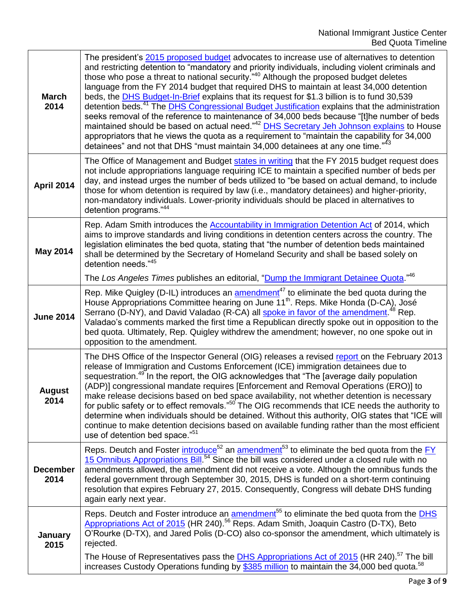| <b>March</b><br>2014    | The president's 2015 proposed budget advocates to increase use of alternatives to detention<br>and restricting detention to "mandatory and priority individuals, including violent criminals and<br>those who pose a threat to national security." <sup>40</sup> Although the proposed budget deletes<br>language from the FY 2014 budget that required DHS to maintain at least 34,000 detention<br>beds, the DHS Budget-In-Brief explains that its request for \$1.3 billion is to fund 30,539<br>detention beds. <sup>41</sup> The <b>DHS Congressional Budget Justification</b> explains that the administration<br>seeks removal of the reference to maintenance of 34,000 beds because "[t]he number of beds<br>maintained should be based on actual need." <sup>42</sup> DHS Secretary Jeh Johnson explains to House<br>appropriators that he views the quota as a requirement to "maintain the capability for 34,000<br>detainees" and not that DHS "must maintain 34,000 detainees at any one time." <sup>43</sup> |
|-------------------------|-----------------------------------------------------------------------------------------------------------------------------------------------------------------------------------------------------------------------------------------------------------------------------------------------------------------------------------------------------------------------------------------------------------------------------------------------------------------------------------------------------------------------------------------------------------------------------------------------------------------------------------------------------------------------------------------------------------------------------------------------------------------------------------------------------------------------------------------------------------------------------------------------------------------------------------------------------------------------------------------------------------------------------|
| April 2014              | The Office of Management and Budget states in writing that the FY 2015 budget request does<br>not include appropriations language requiring ICE to maintain a specified number of beds per<br>day, and instead urges the number of beds utilized to "be based on actual demand, to include<br>those for whom detention is required by law (i.e., mandatory detainees) and higher-priority,<br>non-mandatory individuals. Lower-priority individuals should be placed in alternatives to<br>detention programs."44                                                                                                                                                                                                                                                                                                                                                                                                                                                                                                           |
| <b>May 2014</b>         | Rep. Adam Smith introduces the <b>Accountability in Immigration Detention Act</b> of 2014, which<br>aims to improve standards and living conditions in detention centers across the country. The<br>legislation eliminates the bed quota, stating that "the number of detention beds maintained<br>shall be determined by the Secretary of Homeland Security and shall be based solely on<br>detention needs."45                                                                                                                                                                                                                                                                                                                                                                                                                                                                                                                                                                                                            |
|                         | The Los Angeles Times publishes an editorial, "Dump the Immigrant Detainee Quota."46                                                                                                                                                                                                                                                                                                                                                                                                                                                                                                                                                                                                                                                                                                                                                                                                                                                                                                                                        |
| <b>June 2014</b>        | Rep. Mike Quigley (D-IL) introduces an <i>amendment<sup>47</sup></i> to eliminate the bed quota during the<br>House Appropriations Committee hearing on June 11 <sup>th</sup> . Reps. Mike Honda (D-CA), José<br>Serrano (D-NY), and David Valadao (R-CA) all spoke in favor of the amendment. <sup>48</sup> Rep.<br>Valadao's comments marked the first time a Republican directly spoke out in opposition to the<br>bed quota. Ultimately, Rep. Quigley withdrew the amendment; however, no one spoke out in<br>opposition to the amendment.                                                                                                                                                                                                                                                                                                                                                                                                                                                                              |
| <b>August</b><br>2014   | The DHS Office of the Inspector General (OIG) releases a revised report on the February 2013<br>release of Immigration and Customs Enforcement (ICE) immigration detainees due to<br>sequestration. <sup>49</sup> In the report, the OIG acknowledges that "The Javerage daily population<br>(ADP)] congressional mandate requires [Enforcement and Removal Operations (ERO)] to<br>make release decisions based on bed space availability, not whether detention is necessary<br>for public safety or to effect removals." <sup>50</sup> The OIG recommends that ICE needs the authority to<br>determine when individuals should be detained. Without this authority, OIG states that "ICE will<br>continue to make detention decisions based on available funding rather than the most efficient<br>use of detention bed space." <sup>51</sup>                                                                                                                                                                            |
| <b>December</b><br>2014 | Reps. Deutch and Foster introduce <sup>52</sup> an amendment <sup>53</sup> to eliminate the bed quota from the <b>FY</b><br>15 Omnibus Appropriations Bill. <sup>54</sup> Since the bill was considered under a closed rule with no<br>amendments allowed, the amendment did not receive a vote. Although the omnibus funds the<br>federal government through September 30, 2015, DHS is funded on a short-term continuing<br>resolution that expires February 27, 2015. Consequently, Congress will debate DHS funding<br>again early next year.                                                                                                                                                                                                                                                                                                                                                                                                                                                                           |
| January<br>2015         | Reps. Deutch and Foster introduce an <b>amendment<sup>55</sup></b> to eliminate the bed quota from the DHS<br>Appropriations Act of 2015 (HR 240). <sup>56</sup> Reps. Adam Smith, Joaquin Castro (D-TX), Beto<br>O'Rourke (D-TX), and Jared Polis (D-CO) also co-sponsor the amendment, which ultimately is<br>rejected.                                                                                                                                                                                                                                                                                                                                                                                                                                                                                                                                                                                                                                                                                                   |
|                         | The House of Representatives pass the <b>DHS Appropriations Act of 2015 (HR 240)</b> . <sup>57</sup> The bill<br>increases Custody Operations funding by \$385 million to maintain the 34,000 bed quota. <sup>58</sup>                                                                                                                                                                                                                                                                                                                                                                                                                                                                                                                                                                                                                                                                                                                                                                                                      |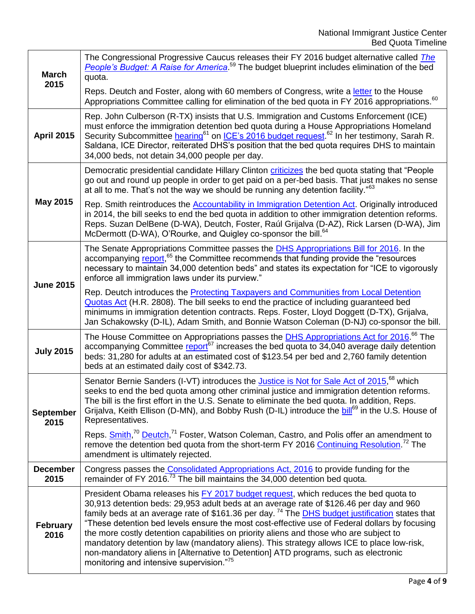| <b>March</b>             | The Congressional Progressive Caucus releases their FY 2016 budget alternative called The<br>People's Budget: A Raise for America. <sup>59</sup> The budget blueprint includes elimination of the bed<br>quota.                                                                                                                                                                                                                                                                                                                                                                                                                                                                                                                 |
|--------------------------|---------------------------------------------------------------------------------------------------------------------------------------------------------------------------------------------------------------------------------------------------------------------------------------------------------------------------------------------------------------------------------------------------------------------------------------------------------------------------------------------------------------------------------------------------------------------------------------------------------------------------------------------------------------------------------------------------------------------------------|
| 2015                     | Reps. Deutch and Foster, along with 60 members of Congress, write a letter to the House<br>Appropriations Committee calling for elimination of the bed quota in FY 2016 appropriations. <sup>60</sup>                                                                                                                                                                                                                                                                                                                                                                                                                                                                                                                           |
| <b>April 2015</b>        | Rep. John Culberson (R-TX) insists that U.S. Immigration and Customs Enforcement (ICE)<br>must enforce the immigration detention bed quota during a House Appropriations Homeland<br>Security Subcommittee hearing <sup>61</sup> on ICE's 2016 budget request. <sup>62</sup> In her testimony, Sarah R.<br>Saldana, ICE Director, reiterated DHS's position that the bed quota requires DHS to maintain<br>34,000 beds, not detain 34,000 people per day.                                                                                                                                                                                                                                                                       |
|                          | Democratic presidential candidate Hillary Clinton criticizes the bed quota stating that "People"<br>go out and round up people in order to get paid on a per-bed basis. That just makes no sense<br>at all to me. That's not the way we should be running any detention facility." <sup>63</sup>                                                                                                                                                                                                                                                                                                                                                                                                                                |
| <b>May 2015</b>          | Rep. Smith reintroduces the Accountability in Immigration Detention Act. Originally introduced<br>in 2014, the bill seeks to end the bed quota in addition to other immigration detention reforms.<br>Reps. Suzan DelBene (D-WA), Deutch, Foster, Raúl Grijalva (D-AZ), Rick Larsen (D-WA), Jim<br>McDermott (D-WA), O'Rourke, and Quigley co-sponsor the bill. <sup>64</sup>                                                                                                                                                                                                                                                                                                                                                   |
| <b>June 2015</b>         | The Senate Appropriations Committee passes the <b>DHS Appropriations Bill for 2016</b> . In the<br>accompanying report, <sup>65</sup> the Committee recommends that funding provide the "resources"<br>necessary to maintain 34,000 detention beds" and states its expectation for "ICE to vigorously<br>enforce all immigration laws under its purview."                                                                                                                                                                                                                                                                                                                                                                       |
|                          | Rep. Deutch introduces the Protecting Taxpayers and Communities from Local Detention<br>Quotas Act (H.R. 2808). The bill seeks to end the practice of including guaranteed bed<br>minimums in immigration detention contracts. Reps. Foster, Lloyd Doggett (D-TX), Grijalva,<br>Jan Schakowsky (D-IL), Adam Smith, and Bonnie Watson Coleman (D-NJ) co-sponsor the bill.                                                                                                                                                                                                                                                                                                                                                        |
| <b>July 2015</b>         | The House Committee on Appropriations passes the <b>DHS Appropriations Act for 2016.</b> <sup>66</sup> The<br>accompanying Committee report <sup>67</sup> increases the bed quota to 34,040 average daily detention<br>beds: 31,280 for adults at an estimated cost of \$123.54 per bed and 2,760 family detention<br>beds at an estimated daily cost of \$342.73.                                                                                                                                                                                                                                                                                                                                                              |
| <b>September</b><br>2015 | Senator Bernie Sanders (I-VT) introduces the <i>Justice is Not for Sale Act of 2015</i> , <sup>68</sup> which<br>seeks to end the bed quota among other criminal justice and immigration detention reforms.<br>The bill is the first effort in the U.S. Senate to eliminate the bed quota. In addition, Reps.<br>Grijalva, Keith Ellison (D-MN), and Bobby Rush (D-IL) introduce the bill <sup>69</sup> in the U.S. House of<br>Representatives.                                                                                                                                                                                                                                                                                |
|                          | Reps. Smith, <sup>70</sup> Deutch, <sup>71</sup> Foster, Watson Coleman, Castro, and Polis offer an amendment to<br>remove the detention bed quota from the short-term FY 2016 Continuing Resolution. <sup>72</sup> The<br>amendment is ultimately rejected.                                                                                                                                                                                                                                                                                                                                                                                                                                                                    |
| <b>December</b><br>2015  | Congress passes the Consolidated Appropriations Act, 2016 to provide funding for the<br>remainder of FY 2016. <sup>73</sup> The bill maintains the 34,000 detention bed quota.                                                                                                                                                                                                                                                                                                                                                                                                                                                                                                                                                  |
| <b>February</b><br>2016  | President Obama releases his FY 2017 budget request, which reduces the bed quota to<br>30,913 detention beds: 29,953 adult beds at an average rate of \$126.46 per day and 960<br>family beds at an average rate of \$161.36 per day. <sup>74</sup> The <b>DHS budget justification</b> states that<br>"These detention bed levels ensure the most cost-effective use of Federal dollars by focusing<br>the more costly detention capabilities on priority aliens and those who are subject to<br>mandatory detention by law (mandatory aliens). This strategy allows ICE to place low-risk,<br>non-mandatory aliens in [Alternative to Detention] ATD programs, such as electronic<br>monitoring and intensive supervision."75 |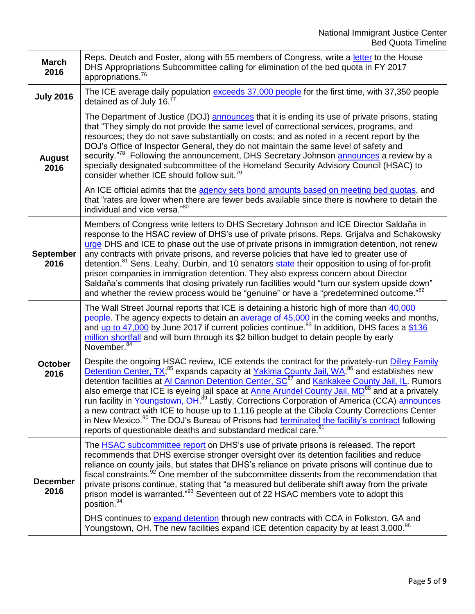| <b>March</b><br>2016     | Reps. Deutch and Foster, along with 55 members of Congress, write a letter to the House<br>DHS Appropriations Subcommittee calling for elimination of the bed quota in FY 2017<br>appropriations. <sup>76</sup>                                                                                                                                                                                                                                                                                                                                                                                                                                                                                                                                                                                                                                           |
|--------------------------|-----------------------------------------------------------------------------------------------------------------------------------------------------------------------------------------------------------------------------------------------------------------------------------------------------------------------------------------------------------------------------------------------------------------------------------------------------------------------------------------------------------------------------------------------------------------------------------------------------------------------------------------------------------------------------------------------------------------------------------------------------------------------------------------------------------------------------------------------------------|
| <b>July 2016</b>         | The ICE average daily population exceeds 37,000 people for the first time, with 37,350 people<br>detained as of July 16.7                                                                                                                                                                                                                                                                                                                                                                                                                                                                                                                                                                                                                                                                                                                                 |
| <b>August</b><br>2016    | The Department of Justice (DOJ) announces that it is ending its use of private prisons, stating<br>that "They simply do not provide the same level of correctional services, programs, and<br>resources; they do not save substantially on costs; and as noted in a recent report by the<br>DOJ's Office of Inspector General, they do not maintain the same level of safety and<br>security." <sup>78</sup> Following the announcement, DHS Secretary Johnson <b>announces</b> a review by a<br>specially designated subcommittee of the Homeland Security Advisory Council (HSAC) to<br>consider whether ICE should follow suit. <sup>79</sup>                                                                                                                                                                                                          |
|                          | An ICE official admits that the agency sets bond amounts based on meeting bed quotas, and<br>that "rates are lower when there are fewer beds available since there is nowhere to detain the<br>individual and vice versa."80                                                                                                                                                                                                                                                                                                                                                                                                                                                                                                                                                                                                                              |
| <b>September</b><br>2016 | Members of Congress write letters to DHS Secretary Johnson and ICE Director Saldaña in<br>response to the HSAC review of DHS's use of private prisons. Reps. Grijalva and Schakowsky<br>urge DHS and ICE to phase out the use of private prisons in immigration detention, not renew<br>any contracts with private prisons, and reverse policies that have led to greater use of<br>detention. <sup>81</sup> Sens. Leahy, Durbin, and 10 senators state their opposition to using of for-profit<br>prison companies in immigration detention. They also express concern about Director<br>Saldaña's comments that closing privately run facilities would "turn our system upside down"<br>and whether the review process would be "genuine" or have a "predetermined outcome."82                                                                          |
|                          | The Wall Street Journal reports that ICE is detaining a historic high of more than 40,000<br>people. The agency expects to detain an average of 45,000 in the coming weeks and months,<br>and up to 47,000 by June 2017 if current policies continue. <sup>83</sup> In addition, DHS faces a \$136<br>million shortfall and will burn through its \$2 billion budget to detain people by early<br>November. <sup>84</sup>                                                                                                                                                                                                                                                                                                                                                                                                                                 |
| <b>October</b><br>2016   | Despite the ongoing HSAC review, ICE extends the contract for the privately-run Dilley Family<br>Detention Center, TX; <sup>85</sup> expands capacity at Yakima County Jail, WA; <sup>86</sup> and establishes new<br>detention facilities at AI Cannon Detention Center, SC <sup>87</sup> and Kankakee County Jail, IL. Rumors<br>also emerge that ICE is eyeing jail space at <b>Anne Arundel County Jail, MD<sup>88</sup></b> and at a privately<br>run facility in Youngstown, OH. <sup>89</sup> Lastly, Corrections Corporation of America (CCA) announces<br>a new contract with ICE to house up to 1,116 people at the Cibola County Corrections Center<br>in New Mexico. <sup>90</sup> The DOJ's Bureau of Prisons had terminated the facility's contract following<br>reports of questionable deaths and substandard medical care. <sup>91</sup> |
| <b>December</b><br>2016  | The HSAC subcommittee report on DHS's use of private prisons is released. The report<br>recommends that DHS exercise stronger oversight over its detention facilities and reduce<br>reliance on county jails, but states that DHS's reliance on private prisons will continue due to<br>fiscal constraints. <sup>92</sup> One member of the subcommittee dissents from the recommendation that<br>private prisons continue, stating that "a measured but deliberate shift away from the private<br>prison model is warranted." <sup>93</sup> Seventeen out of 22 HSAC members vote to adopt this<br>position. <sup>94</sup>                                                                                                                                                                                                                               |
|                          | DHS continues to expand detention through new contracts with CCA in Folkston, GA and<br>Youngstown, OH. The new facilities expand ICE detention capacity by at least 3,000. <sup>95</sup>                                                                                                                                                                                                                                                                                                                                                                                                                                                                                                                                                                                                                                                                 |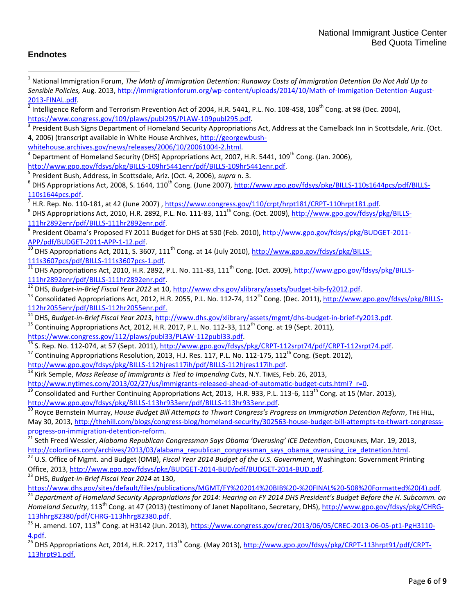## **Endnotes**

 $\overline{a}$ 

1 National Immigration Forum, *The Math of Immigration Detention: Runaway Costs of Immigration Detention Do Not Add Up to Sensible Policies,* Aug. 2013[, http://immigrationforum.org/wp-content/uploads/2014/10/Math-of-Immigation-Detention-August-](http://immigrationforum.org/wp-content/uploads/2014/10/Math-of-Immigation-Detention-August-2013-FINAL.pdf)[2013-FINAL.pdf.](http://immigrationforum.org/wp-content/uploads/2014/10/Math-of-Immigation-Detention-August-2013-FINAL.pdf)  $^2$  Intelligence Reform and Terrorism Prevention Act of 2004, H.R. 5441, P.L. No. 108-458, 108<sup>th</sup> Cong. at 98 (Dec. 2004), [https://www.congress.gov/109/plaws/publ295/PLAW-109publ295.pdf.](https://www.congress.gov/109/plaws/publ295/PLAW-109publ295.pdf) 3 President Bush Signs Department of Homeland Security Appropriations Act, Address at the Camelback Inn in Scottsdale, Ariz. (Oct. 4, 2006) (transcript available in White House Archives, [http://georgewbush](http://georgewbush-whitehouse.archives.gov/news/releases/2006/10/20061004-2.html)[whitehouse.archives.gov/news/releases/2006/10/20061004-2.html.](http://georgewbush-whitehouse.archives.gov/news/releases/2006/10/20061004-2.html) 4 Department of Homeland Security (DHS) Appropriations Act, 2007, H.R. 5441, 109<sup>th</sup> Cong. (Jan. 2006), [http://www.gpo.gov/fdsys/pkg/BILLS-109hr5441enr/pdf/BILLS-109hr5441enr.pdf.](http://www.gpo.gov/fdsys/pkg/BILLS-109hr5441enr/pdf/BILLS-109hr5441enr.pdf) 5 President Bush, Address, in Scottsdale, Ariz. (Oct. 4, 2006), *supra* n. 3. <sup>6</sup> DHS Appropriations Act, 2008, S. 1644, 110<sup>th</sup> Cong. (June 2007), <u>http://www.gpo.gov/fdsys/pkg/BILLS-110s1644pcs/pdf/BILLS-</u> [110s1644pcs.pdf.](http://www.gpo.gov/fdsys/pkg/BILLS-110s1644pcs/pdf/BILLS-110s1644pcs.pdf)  $^7$  H.R. Rep. No. 110-181, at 42 (June 2007) ,  $\frac{\text{https://www.congress.gov/110/crpt/hrpt181/CRPT-110hrpt181.pdf.}}{$ <sup>8</sup> DHS Appropriations Act, 2010, H.R. 2892, P.L. No. 111-83, 111<sup>th</sup> Cong. (Oct. 2009), <u>http://www.gpo.gov/fdsys/pkg/BILLS-</u> [111hr2892enr/pdf/BILLS-111hr2892enr.pdf.](http://www.gpo.gov/fdsys/pkg/BILLS-111hr2892enr/pdf/BILLS-111hr2892enr.pdf)  <sup>9</sup> President Obama's Proposed FY 2011 Budget for DHS at 530 (Feb. 2010), <u>http://www.gpo.gov/fdsys/pkg/BUDGET-2011</u>-[APP/pdf/BUDGET-2011-APP-1-12.pdf.](http://www.gpo.gov/fdsys/pkg/BUDGET-2011-APP/pdf/BUDGET-2011-APP-1-12.pdf) DHS Appropriations Act, 2011, S. 3607, 111<sup>th</sup> Cong. at 14 (July 2010)[, http://www.gpo.gov/fdsys/pkg/BILLS-](http://www.gpo.gov/fdsys/pkg/BILLS-111s3607pcs/pdf/BILLS-111s3607pcs-1.pdf)[111s3607pcs/pdf/BILLS-111s3607pcs-1.pdf.](http://www.gpo.gov/fdsys/pkg/BILLS-111s3607pcs/pdf/BILLS-111s3607pcs-1.pdf) <sup>11</sup> DHS Appropriations Act, 2010, H.R. 2892, P.L. No. 111-83, 111th Cong. (Oct. 2009), [http://www.gpo.gov/fdsys/pkg/BILLS-](http://www.gpo.gov/fdsys/pkg/BILLS-111hr2892enr/pdf/BILLS-111hr2892enr.pdf)[111hr2892enr/pdf/BILLS-111hr2892enr.pdf.](http://www.gpo.gov/fdsys/pkg/BILLS-111hr2892enr/pdf/BILLS-111hr2892enr.pdf) <sup>12</sup> DHS, *Budget-in-Brief Fiscal Year 2012* at 10, [http://www.dhs.gov/xlibrary/assets/budget-bib-fy2012.pdf.](http://www.dhs.gov/xlibrary/assets/budget-bib-fy2012.pdf) 13 Consolidated Appropriations Act, 2012, H.R. 2055, P.L. No. 112-74, 112<sup>th</sup> Cong. (Dec. 2011), [http://www.gpo.gov/fdsys/pkg/BILLS-](http://www.gpo.gov/fdsys/pkg/BILLS-112hr2055enr/pdf/BILLS-112hr2055enr.pdf)[112hr2055enr/pdf/BILLS-112hr2055enr.pdf.](http://www.gpo.gov/fdsys/pkg/BILLS-112hr2055enr/pdf/BILLS-112hr2055enr.pdf) <sup>14</sup> DHS, *Budget-in-Brief Fiscal Year 2013*[, http://www.dhs.gov/xlibrary/assets/mgmt/dhs-budget-in-brief-fy2013.pdf.](http://www.dhs.gov/xlibrary/assets/mgmt/dhs-budget-in-brief-fy2013.pdf) <sup>15</sup> Continuing Appropriations Act, 2012, H.R. 2017, P.L. No. 112-33, 112<sup>th</sup> Cong. at 19 (Sept. 2011), [https://www.congress.gov/112/plaws/publ33/PLAW-112publ33.pdf.](https://www.congress.gov/112/plaws/publ33/PLAW-112publ33.pdf)  $^{16}$  S. Rep. No. 112-074, at 57 (Sept. 2011), [http://www.gpo.gov/fdsys/pkg/CRPT-112srpt74/pdf/CRPT-112srpt74.pdf.](http://www.gpo.gov/fdsys/pkg/CRPT-112srpt74/pdf/CRPT-112srpt74.pdf)  $^{17}$  Continuing Appropriations Resolution, 2013, H.J. Res. 117, P.L. No. 112-175, 112<sup>th</sup> Cong. (Sept. 2012), [http://www.gpo.gov/fdsys/pkg/BILLS-112hjres117ih/pdf/BILLS-112hjres117ih.pdf.](http://www.gpo.gov/fdsys/pkg/BILLS-112hjres117ih/pdf/BILLS-112hjres117ih.pdf) <sup>18</sup> Kirk Semple, *Mass Release of Immigrants is Tied to Impending Cuts*, N.Y. TIMES, Feb. 26, 2013, [http://www.nytimes.com/2013/02/27/us/immigrants-released-ahead-of-automatic-budget-cuts.html?\\_r=0.](http://www.nytimes.com/2013/02/27/us/immigrants-released-ahead-of-automatic-budget-cuts.html?_r=0) Consolidated and Further Continuing Appropriations Act, 2013, H.R. 933, P.L. 113-6, 113<sup>th</sup> Cong. at 15 (Mar. 2013), [http://www.gpo.gov/fdsys/pkg/BILLS-113hr933enr/pdf/BILLS-113hr933enr.pdf.](http://www.gpo.gov/fdsys/pkg/BILLS-113hr933enr/pdf/BILLS-113hr933enr.pdf) <sup>20</sup> Royce Bernstein Murray, *House Budget Bill Attempts to Thwart Congress's Progress on Immigration Detention Reform*, THE HILL, May 30, 2013, [http://thehill.com/blogs/congress-blog/homeland-security/302563-house-budget-bill-attempts-to-thwart-congresss](http://thehill.com/blogs/congress-blog/homeland-security/302563-house-budget-bill-attempts-to-thwart-congresss-progress-on-immigration-detention-reform)[progress-on-immigration-detention-reform.](http://thehill.com/blogs/congress-blog/homeland-security/302563-house-budget-bill-attempts-to-thwart-congresss-progress-on-immigration-detention-reform) <sup>21</sup> Seth Freed Wessler, *Alabama Republican Congressman Says Obama 'Overusing' ICE Detention*, COLORLINES, Mar. 19, 2013, [http://colorlines.com/archives/2013/03/alabama\\_republican\\_congressman\\_says\\_obama\\_overusing\\_ice\\_detnetion.html.](http://colorlines.com/archives/2013/03/alabama_republican_congressman_says_obama_overusing_ice_detnetion.html) <sup>22</sup> U.S. Office of Mgmt. and Budget (OMB), *Fiscal Year 2014 Budget of the U.S. Government*, Washington: Government Printing Office, 2013, [http://www.gpo.gov/fdsys/pkg/BUDGET-2014-BUD/pdf/BUDGET-2014-BUD.pdf.](http://www.gpo.gov/fdsys/pkg/BUDGET-2014-BUD/pdf/BUDGET-2014-BUD.pdf) <sup>23</sup> DHS, *Budget-in-Brief Fiscal Year 2014* at 130, [https://www.dhs.gov/sites/default/files/publications/MGMT/FY%202014%20BIB%20-%20FINAL%20-508%20Formatted%20\(4\).pdf.](https://www.dhs.gov/sites/default/files/publications/MGMT/FY%202014%20BIB%20-%20FINAL%20-508%20Formatted%20(4).pdf) <sup>24</sup> *Department of Homeland Security Appropriations for 2014: Hearing on FY 2014 DHS President's Budget Before the H. Subcomm. on Homeland Security*, 113<sup>th</sup> Cong. at 47 (2013) (testimony of Janet Napolitano, Secretary, DHS), [http://www.gpo.gov/fdsys/pkg/CHRG-](http://www.gpo.gov/fdsys/pkg/CHRG-113hhrg82380/pdf/CHRG-113hhrg82380.pdf)[113hhrg82380/pdf/CHRG-113hhrg82380.pdf.](http://www.gpo.gov/fdsys/pkg/CHRG-113hhrg82380/pdf/CHRG-113hhrg82380.pdf)  $\frac{25}{25}$  H. amend. 107, 113<sup>th</sup> Cong. at H3142 (Jun. 2013), [https://www.congress.gov/crec/2013/06/05/CREC-2013-06-05-pt1-PgH3110-](https://www.congress.gov/crec/2013/06/05/CREC-2013-06-05-pt1-PgH3110-4.pdf) [4.pdf.](https://www.congress.gov/crec/2013/06/05/CREC-2013-06-05-pt1-PgH3110-4.pdf)  $\overline{^{26}}$  DHS Appropriations Act, 2014, H.R. 2217, 113<sup>th</sup> Cong. (May 2013), [http://www.gpo.gov/fdsys/pkg/CRPT-113hrpt91/pdf/CRPT-](http://www.gpo.gov/fdsys/pkg/CRPT-113hrpt91/pdf/CRPT-113hrpt91.pdf)[113hrpt91.pdf.](http://www.gpo.gov/fdsys/pkg/CRPT-113hrpt91/pdf/CRPT-113hrpt91.pdf)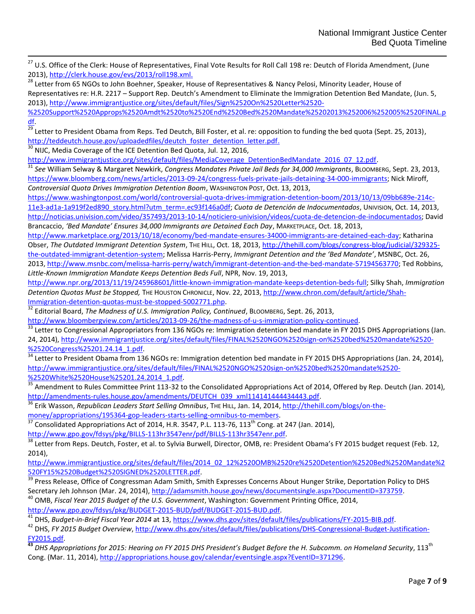<sup>27</sup> U.S. Office of the Clerk: House of Representatives, Final Vote Results for Roll Call 198 re: Deutch of Florida Amendment, (June 2013), [http://clerk.house.gov/evs/2013/roll198.xml.](http://clerk.house.gov/evs/2013/roll198.xml) 

<sup>28</sup> Letter from 65 NGOs to John Boehner, Speaker, House of Representatives & Nancy Pelosi, Minority Leader, House of Representatives re: H.R. 2217 – Support Rep. Deutch's Amendment to Eliminate the Immigration Detention Bed Mandate, (Jun. 5, 2013), [http://www.immigrantjustice.org/sites/default/files/Sign%2520On%2520Letter%2520-](http://www.immigrantjustice.org/sites/default/files/Sign%2520On%2520Letter%2520-%2520Support%2520Approps%2520Amdt%2520to%2520End%2520Bed%2520Mandate%25202013%252006%252005%2520FINAL.pdf)

[%2520Support%2520Approps%2520Amdt%2520to%2520End%2520Bed%2520Mandate%25202013%252006%252005%2520FINAL.p](http://www.immigrantjustice.org/sites/default/files/Sign%2520On%2520Letter%2520-%2520Support%2520Approps%2520Amdt%2520to%2520End%2520Bed%2520Mandate%25202013%252006%252005%2520FINAL.pdf) [df.](http://www.immigrantjustice.org/sites/default/files/Sign%2520On%2520Letter%2520-%2520Support%2520Approps%2520Amdt%2520to%2520End%2520Bed%2520Mandate%25202013%252006%252005%2520FINAL.pdf) 

 $\overline{29}$  Letter to President Obama from Reps. Ted Deutch, Bill Foster, et al. re: opposition to funding the bed quota (Sept. 25, 2013), [http://teddeutch.house.gov/uploadedfiles/deutch\\_foster\\_detention\\_letter.pdf.](http://teddeutch.house.gov/uploadedfiles/deutch_foster_detention_letter.pdf)

<sup>30</sup> NIJC, Media Coverage of the ICE Detention Bed Quota, Jul. 12, 2016,

l

http://www.immigrantjustice.org/sites/default/files/MediaCoverage\_DetentionBedMandate\_2016\_07\_12.pdf

<sup>31</sup> See William Selway & Margaret Newkirk, *Congress Mandates Private Jail Beds for 34,000 Immigrants,* BLOOMBERG, Sept. 23, 2013, [https://www.bloomberg.com/news/articles/2013-09-24/congress-fuels-private-jails-detaining-34-000-immigrants;](https://www.bloomberg.com/news/articles/2013-09-24/congress-fuels-private-jails-detaining-34-000-immigrants) Nick Miroff, *Controversial Quota Drives Immigration Detention Boom*, WASHINGTON POST, Oct. 13, 2013,

[https://www.washingtonpost.com/world/controversial-quota-drives-immigration-detention-boom/2013/10/13/09bb689e-214c-](https://www.washingtonpost.com/world/controversial-quota-drives-immigration-detention-boom/2013/10/13/09bb689e-214c-11e3-ad1a-1a919f2ed890_story.html?utm_term=.ec93f146a0df)

[11e3-ad1a-1a919f2ed890\\_story.html?utm\\_term=.ec93f146a0df;](https://www.washingtonpost.com/world/controversial-quota-drives-immigration-detention-boom/2013/10/13/09bb689e-214c-11e3-ad1a-1a919f2ed890_story.html?utm_term=.ec93f146a0df) *Cuota de Detención de Indocumentados*, UNIVISION, Oct. 14, 2013, [http://noticias.univision.com/video/357493/2013-10-14/noticiero-univision/videos/cuota-de-detencion-de-indocumentados;](http://noticias.univision.com/video/357493/2013-10-14/noticiero-univision/videos/cuota-de-detencion-de-indocumentados) David Brancaccio, *'Bed Mandate' Ensures 34,000 Immigrants are Detained Each Day*, MARKETPLACE, Oct. 18, 2013,

[http://www.marketplace.org/2013/10/18/economy/bed-mandate-ensures-34000-immigrants-are-detained-each-day;](http://www.marketplace.org/2013/10/18/economy/bed-mandate-ensures-34000-immigrants-are-detained-each-day) Katharina Obser, The Outdated Immigrant Detention System, The HILL, Oct. 18, 2013, [http://thehill.com/blogs/congress-blog/judicial/329325](http://thehill.com/blogs/congress-blog/judicial/329325-the-outdated-immigrant-detention-system) [the-outdated-immigrant-detention-system;](http://thehill.com/blogs/congress-blog/judicial/329325-the-outdated-immigrant-detention-system) Melissa Harris-Perry, *Immigrant Detention and the 'Bed Mandate'*, MSNBC, Oct. 26, 2013, [http://www.msnbc.com/melissa-harris-perry/watch/immigrant-detention-and-the-bed-mandate-57194563770;](http://www.msnbc.com/melissa-harris-perry/watch/immigrant-detention-and-the-bed-mandate-57194563770) Ted Robbins,

*Little-Known Immigration Mandate Keeps Detention Beds Full*, NPR, Nov. 19, 2013,

[http://www.npr.org/2013/11/19/245968601/little-known-immigration-mandate-keeps-detention-beds-full;](http://www.npr.org/2013/11/19/245968601/little-known-immigration-mandate-keeps-detention-beds-full) Silky Shah, *Immigration Detention Quotas Must be Stopped,* THE HOUSTON CHRONICLE, Nov. 22, 2013[, http://www.chron.com/default/article/Shah-](http://www.chron.com/default/article/Shah-Immigration-detention-quotas-must-be-stopped-5002771.php)[Immigration-detention-quotas-must-be-stopped-5002771.php.](http://www.chron.com/default/article/Shah-Immigration-detention-quotas-must-be-stopped-5002771.php)

<sup>32</sup> Editorial Board, *The Madness of U.S. Immigration Policy, Continued*, BLOOMBERG, Sept. 26, 2013,

[http://www.bloombergview.com/articles/2013-09-26/the-madness-of-u-s-immigration-policy-continued.](http://www.bloombergview.com/articles/2013-09-26/the-madness-of-u-s-immigration-policy-continued)

<sup>33</sup> Letter to Congressional Appropriators from 136 NGOs re: Immigration detention bed mandate in FY 2015 DHS Appropriations (Jan. 24, 2014), [http://www.immigrantjustice.org/sites/default/files/FINAL%2520NGO%2520sign-on%2520bed%2520mandate%2520-](http://www.immigrantjustice.org/sites/default/files/FINAL%2520NGO%2520sign-on%2520bed%2520mandate%2520-%2520Congress%25201.24.14_1.pdf) [%2520Congress%25201.24.14\\_1.pdf.](http://www.immigrantjustice.org/sites/default/files/FINAL%2520NGO%2520sign-on%2520bed%2520mandate%2520-%2520Congress%25201.24.14_1.pdf)

Letter to President Obama from 136 NGOs re: Immigration detention bed mandate in FY 2015 DHS Appropriations (Jan. 24, 2014), [http://www.immigrantjustice.org/sites/default/files/FINAL%2520NGO%2520sign-on%2520bed%2520mandate%2520-](http://www.immigrantjustice.org/sites/default/files/FINAL%2520NGO%2520sign-on%2520bed%2520mandate%2520-%2520White%2520House%25201.24.2014_1.pdf) [%2520White%2520House%25201.24.2014\\_1.pdf.](http://www.immigrantjustice.org/sites/default/files/FINAL%2520NGO%2520sign-on%2520bed%2520mandate%2520-%2520White%2520House%25201.24.2014_1.pdf)

<sup>35</sup> Amendment to Rules Committee Print 113-32 to the Consolidated Appropriations Act of 2014, Offered by Rep. Deutch (Jan. 2014), [http://amendments-rules.house.gov/amendments/DEUTCH\\_039\\_xml114141444434443.pdf.](http://amendments-rules.house.gov/amendments/DEUTCH_039_xml114141444434443.pdf)

<sup>36</sup> Erik Wasson, *Republican Leaders Start Selling Omnibus*, THE HILL, Jan. 14, 2014[, http://thehill.com/blogs/on-the-](http://thehill.com/blogs/on-the-money/appropriations/195364-gop-leaders-starts-selling-omnibus-to-members)

[money/appropriations/195364-gop-leaders-starts-selling-omnibus-to-members.](http://thehill.com/blogs/on-the-money/appropriations/195364-gop-leaders-starts-selling-omnibus-to-members)

Consolidated Appropriations Act of 2014, H.R. 3547, P.L. 113-76, 113<sup>th</sup> Cong. at 247 (Jan. 2014),

[http://www.gpo.gov/fdsys/pkg/BILLS-113hr3547enr/pdf/BILLS-113hr3547enr.pdf.](http://www.gpo.gov/fdsys/pkg/BILLS-113hr3547enr/pdf/BILLS-113hr3547enr.pdf)

<sup>38</sup> Letter from Reps. Deutch, Foster, et al. to Sylvia Burwell, Director, OMB, re: President Obama's FY 2015 budget request (Feb. 12, 2014),

[http://www.immigrantjustice.org/sites/default/files/2014\\_02\\_12%2520OMB%2520re%2520Detention%2520Bed%2520Mandate%2](http://www.immigrantjustice.org/sites/default/files/2014_02_12%2520OMB%2520re%2520Detention%2520Bed%2520Mandate%2520FY15%2520Budget%2520SIGNED%2520LETTER.pdf) [520FY15%2520Budget%2520SIGNED%2520LETTER.pdf.](http://www.immigrantjustice.org/sites/default/files/2014_02_12%2520OMB%2520re%2520Detention%2520Bed%2520Mandate%2520FY15%2520Budget%2520SIGNED%2520LETTER.pdf)

39 Press Release, Office of Congressman Adam Smith, Smith Expresses Concerns About Hunger Strike, Deportation Policy to DHS Secretary Jeh Johnson (Mar. 24, 2014)[, http://adamsmith.house.gov/news/documentsingle.aspx?DocumentID=373759.](http://adamsmith.house.gov/news/documentsingle.aspx?DocumentID=373759)

<sup>40</sup> OMB, *Fiscal Year 2015 Budget of the U.S. Government*, Washington: Government Printing Office, 2014, [http://www.gpo.gov/fdsys/pkg/BUDGET-2015-BUD/pdf/BUDGET-2015-BUD.pdf.](http://www.gpo.gov/fdsys/pkg/BUDGET-2015-BUD/pdf/BUDGET-2015-BUD.pdf)

<sup>41</sup> DHS, *Budget-in-Brief Fiscal Year 2014* at 13, [https://www.dhs.gov/sites/default/files/publications/FY-2015-BIB.pdf.](https://www.dhs.gov/sites/default/files/publications/FY-2015-BIB.pdf)

<sup>42</sup> DHS, *FY 2015 Budget Overview*[, http://www.dhs.gov/sites/default/files/publications/DHS-Congressional-Budget-Justification-](http://www.dhs.gov/sites/default/files/publications/DHS-Congressional-Budget-Justification-FY2015.pdf)[FY2015.pdf.](http://www.dhs.gov/sites/default/files/publications/DHS-Congressional-Budget-Justification-FY2015.pdf)

**<sup>43</sup>** *DHS Appropriations for 2015: Hearing on FY 2015 DHS President's Budget Before the H. Subcomm. on Homeland Security*, 113th Cong. (Mar. 11, 2014), [http://appropriations.house.gov/calendar/eventsingle.aspx?EventID=371296.](http://appropriations.house.gov/calendar/eventsingle.aspx?EventID=371296)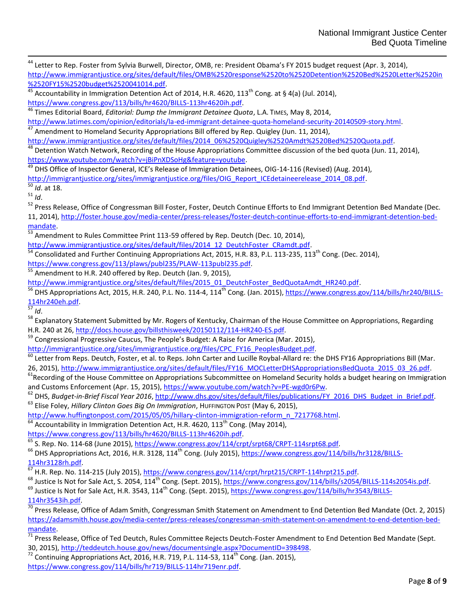<sup>44</sup> Letter to Rep. Foster from Sylvia Burwell, Director, OMB, re: President Obama's FY 2015 budget request (Apr. 3, 2014), [http://www.immigrantjustice.org/sites/default/files/OMB%2520response%2520to%2520Detention%2520Bed%2520Letter%2520in](http://www.immigrantjustice.org/sites/default/files/OMB%2520response%2520to%2520Detention%2520Bed%2520Letter%2520in%2520FY15%2520budget%2520041014.pdf) [%2520FY15%2520budget%2520041014.pdf.](http://www.immigrantjustice.org/sites/default/files/OMB%2520response%2520to%2520Detention%2520Bed%2520Letter%2520in%2520FY15%2520budget%2520041014.pdf)

Accountability in Immigration Detention Act of 2014, H.R. 4620, 113<sup>th</sup> Cong. at § 4(a) (Jul. 2014), [https://www.congress.gov/113/bills/hr4620/BILLS-113hr4620ih.pdf.](https://www.congress.gov/113/bills/hr4620/BILLS-113hr4620ih.pdf)

<sup>46</sup> Times Editorial Board, *Editorial: Dump the Immigrant Detainee Quota*, L.A. TIMES, May 8, 2014,

[http://www.latimes.com/opinion/editorials/la-ed-immigrant-detainee-quota-homeland-security-20140509-story.html.](http://www.latimes.com/opinion/editorials/la-ed-immigrant-detainee-quota-homeland-security-20140509-story.html)

 $47$  Amendment to Homeland Security Appropriations Bill offered by Rep. Quigley (Jun. 11, 2014),

[http://www.immigrantjustice.org/sites/default/files/2014\\_06%2520Quigley%2520Amdt%2520Bed%2520Quota.pdf.](http://www.immigrantjustice.org/sites/default/files/2014_06%2520Quigley%2520Amdt%2520Bed%2520Quota.pdf)

Detention Watch Network, Recording of the House Appropriations Committee discussion of the bed quota (Jun. 11, 2014), [https://www.youtube.com/watch?v=jBiPnXDSoHg&feature=youtube.](https://www.youtube.com/watch?v=jBiPnXDSoHg&feature=youtube)

<sup>49</sup> DHS Office of Inspector General, ICE's Release of Immigration Detainees, OIG-14-116 (Revised) (Aug. 2014),

[http://immigrantjustice.org/sites/immigrantjustice.org/files/OIG\\_Report\\_ICEdetaineerelease\\_2014\\_08.pdf.](http://immigrantjustice.org/sites/immigrantjustice.org/files/OIG_Report_ICEdetaineerelease_2014_08.pdf)

<sup>50</sup> *Id*. at 18.  $rac{1}{10}$ .

l

52 Press Release, Office of Congressman Bill Foster, Foster, Deutch Continue Efforts to End Immigrant Detention Bed Mandate (Dec. 11, 2014), [http://foster.house.gov/media-center/press-releases/foster-deutch-continue-efforts-to-end-immigrant-detention-bed](http://foster.house.gov/media-center/press-releases/foster-deutch-continue-efforts-to-end-immigrant-detention-bed-mandate)[mandate.](http://foster.house.gov/media-center/press-releases/foster-deutch-continue-efforts-to-end-immigrant-detention-bed-mandate)

 $\frac{53}{53}$  Amendment to Rules Committee Print 113-59 offered by Rep. Deutch (Dec. 10, 2014),

[http://www.immigrantjustice.org/sites/default/files/2014\\_12\\_DeutchFoster\\_CRamdt.pdf.](http://www.immigrantjustice.org/sites/default/files/2014_12_DeutchFoster_CRamdt.pdf)

Consolidated and Further Continuing Appropriations Act, 2015, H.R. 83, P.L. 113-235, 113<sup>th</sup> Cong. (Dec. 2014),

[https://www.congress.gov/113/plaws/publ235/PLAW-113publ235.pdf.](https://www.congress.gov/113/plaws/publ235/PLAW-113publ235.pdf)

 $<sup>55</sup>$  Amendment to H.R. 240 offered by Rep. Deutch (Jan. 9, 2015),</sup>

[http://www.immigrantjustice.org/sites/default/files/2015\\_01\\_DeutchFoster\\_BedQuotaAmdt\\_HR240.pdf.](http://www.immigrantjustice.org/sites/default/files/2015_01_DeutchFoster_BedQuotaAmdt_HR240.pdf)

<sup>56</sup> DHS Appropriations Act, 2015, H.R. 240, P.L. No. 114-4, 114<sup>th</sup> Cong. (Jan. 2015), <u>https://www.congress.gov/114/bills/hr240/BILLS-</u> [114hr240eh.pdf.](https://www.congress.gov/114/bills/hr240/BILLS-114hr240eh.pdf) 

<sup>57</sup> *Id*.

<sup>58</sup> Explanatory Statement Submitted by Mr. Rogers of Kentucky, Chairman of the House Committee on Appropriations, Regarding H.R. 240 at 26[, http://docs.house.gov/billsthisweek/20150112/114-HR240-ES.pdf.](http://docs.house.gov/billsthisweek/20150112/114-HR240-ES.pdf)

<sup>59</sup> Congressional Progressive Caucus, The People's Budget: A Raise for America (Mar. 2015),

[http://immigrantjustice.org/sites/immigrantjustice.org/files/CPC\\_FY16\\_PeoplesBudget.pdf.](http://immigrantjustice.org/sites/immigrantjustice.org/files/CPC_FY16_PeoplesBudget.pdf)

 $^{60}$  Letter from Reps. Deutch, Foster, et al. to Reps. John Carter and Lucille Roybal-Allard re: the DHS FY16 Appropriations Bill (Mar. 26, 2015), [http://www.immigrantjustice.org/sites/default/files/FY16\\_MOCLetterDHSAppropriationsBedQuota\\_2015\\_03\\_26.pdf.](http://www.immigrantjustice.org/sites/default/files/FY16_MOCLetterDHSAppropriationsBedQuota_2015_03_26.pdf)

 $<sup>61</sup>$ Recording of the House Committee on Appropriations Subcommittee on Homeland Security holds a budget hearing on Immigration</sup> and Customs Enforcement (Apr. 15, 2015), [https://www.youtube.com/watch?v=PE-wgd0r6Pw.](https://www.youtube.com/watch?v=PE-wgd0r6Pw)

<sup>62</sup> DHS, *Budget-in-Brief Fiscal Year 2016*[, http://www.dhs.gov/sites/default/files/publications/FY\\_2016\\_DHS\\_Budget\\_in\\_Brief.pdf.](http://www.dhs.gov/sites/default/files/publications/FY_2016_DHS_Budget_in_Brief.pdf) <sup>63</sup> Elise Foley, *Hillary Clinton Goes Big On Immigration*, HUFFINGTON POST (May 6, 2015),

[http://www.huffingtonpost.com/2015/05/05/hillary-clinton-immigration-reform\\_n\\_7217768.html.](http://www.huffingtonpost.com/2015/05/05/hillary-clinton-immigration-reform_n_7217768.html) 

Accountability in Immigration Detention Act, H.R. 4620,  $113<sup>th</sup>$  Cong. (May 2014),

[https://www.congress.gov/113/bills/hr4620/BILLS-113hr4620ih.pdf.](https://www.congress.gov/113/bills/hr4620/BILLS-113hr4620ih.pdf)

<sup>65</sup> S. Rep. No. 114-68 (June 2015), [https://www.congress.gov/114/crpt/srpt68/CRPT-114srpt68.pdf.](https://www.congress.gov/114/crpt/srpt68/CRPT-114srpt68.pdf)

<sup>66</sup> DHS Appropriations Act, 2016, H.R. 3128, 114<sup>th</sup> Cong. (July 2015)[, https://www.congress.gov/114/bills/hr3128/BILLS-](https://www.congress.gov/114/bills/hr3128/BILLS-114hr3128rh.pdf)[114hr3128rh.pdf.](https://www.congress.gov/114/bills/hr3128/BILLS-114hr3128rh.pdf)

67 H.R. Rep. No. 114-215 (July 2015), https://www.congress.gov/114/crpt/hrpt215/CRPT-114hrpt215.pdf.

<sup>68</sup> Justice Is Not for Sale Act, S. 2054, 114<sup>th</sup> Cong. (Sept. 2015), [https://www.congress.gov/114/bills/s2054/BILLS-114s2054is.pdf.](https://www.congress.gov/114/bills/s2054/BILLS-114s2054is.pdf)

 $^{69}$  Justice Is Not for Sale Act, H.R. 3543, 114<sup>th</sup> Cong. (Sept. 2015), [https://www.congress.gov/114/bills/hr3543/BILLS-](https://www.congress.gov/114/bills/hr3543/BILLS-114hr3543ih.pdf)[114hr3543ih.pdf.](https://www.congress.gov/114/bills/hr3543/BILLS-114hr3543ih.pdf)

 $\frac{70}{10}$  Press Release. Office of Adam Smith, Congressman Smith Statement on Amendment to End Detention Bed Mandate (Oct. 2, 2015) [https://adamsmith.house.gov/media-center/press-releases/congressman-smith-statement-on-amendment-to-end-detention-bed](https://adamsmith.house.gov/media-center/press-releases/congressman-smith-statement-on-amendment-to-end-detention-bed-mandate)mandate.

<sup>71</sup> Press Release, Office of Ted Deutch, Rules Committee Rejects Deutch-Foster Amendment to End Detention Bed Mandate (Sept. 30, 2015), [http://teddeutch.house.gov/news/documentsingle.aspx?DocumentID=398498.](http://teddeutch.house.gov/news/documentsingle.aspx?DocumentID=398498)

 $72$  Continuing Appropriations Act, 2016, H.R. 719, P.L. 114-53, 114<sup>th</sup> Cong. (Jan. 2015),

[https://www.congress.gov/114/bills/hr719/BILLS-114hr719enr.pdf.](https://www.congress.gov/114/bills/hr719/BILLS-114hr719enr.pdf)